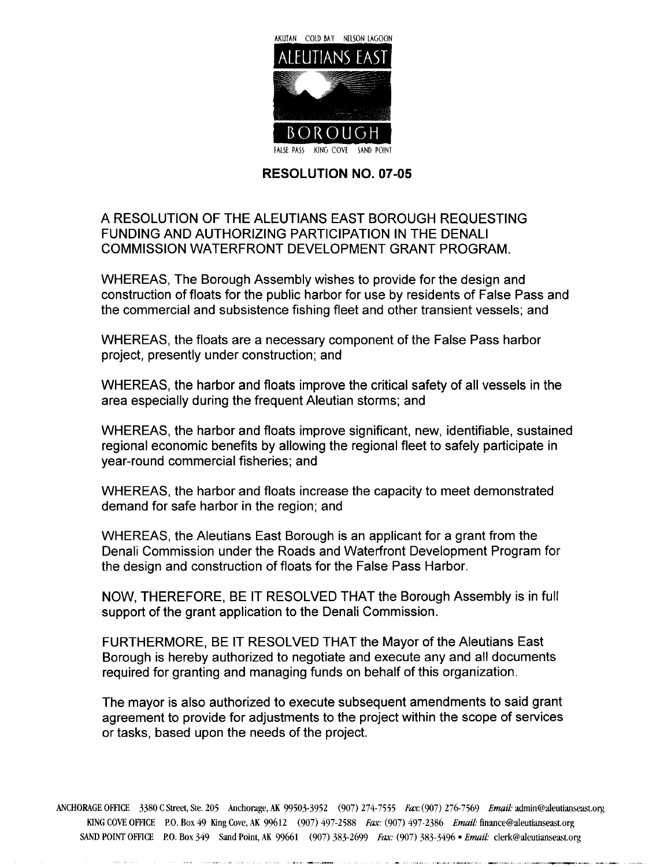

## RESOLUTION NO. 07-05

## A RESOLUTION OF THE ALEUTIANS EAST BOROUGH REQUESTING FUNDING AND AUTHORIZING PARTICIPATION IN THE DENALI COMMISSION WATERFRONT DEVELOPMENT GRANT PROGRAM

WHEREAS, The Borough Assembly wishes to provide for the design and construction of floats for the public harbor for use by residents of False Pass and the commercial and subsistence fishing fleet and other transient vessels; and

WHEREAS, the floats are a necessary component of the False Pass harbor project, presently under construction; and

WHEREAS, the harbor and floats improve the critical safety of all vessels in the area especially during the frequent Aleutian storms; and

WHEREAS, the harbor and floats improve significant, new, identifiable, sustained regional economic benefits by allowing the regional fleet to safely participate in year-round commercial fisheries; and

WHEREAS, the harbor and floats increase the capacity to meet demonstrated demand for safe harbor in the region; and

WHEREAS, the Aleutians East Borough is an applicant for a grant from the Denali Commission under the Roads and Waterfront Development Program for the design and construction of floats for the False Pass Harbor

NOW, THEREFORE, BE IT RESOLVED THAT the Borough Assembly is in full support of the grant application to the Denali Commission.

FURTHERMORE, BE IT RESOLVED THAT the Mayor of the Aleutians East Borough is hereby authorized to negotiate and execute any and all documents required for granting and managing funds on behalf of this organization

The mayor is also authorized to execute subsequent amendments to said grant agreement to provide for adjustments to the project within the scope of services or tasks, based upon the needs of the project.

ANCHORAGE OFFICE 3380 C Street, Ste. 205 Anchorage, AK 99503-3952 (907) 274-7555 Fax: (907) 276-7569 Email: admin@aleutianseast.org KING COVE OFFICE P.O. Box 49 King Cove, AK 99612 (907) 497-2588 Fax: (907) 497-2386 Email: finance@aleutianseast.org SAND POINT OFFICE P.O. Box 349 Sand Point, AK 99661 (907) 383-2699 Fax: (907) 383-3496 • Email: clerk@aleutianseast.org